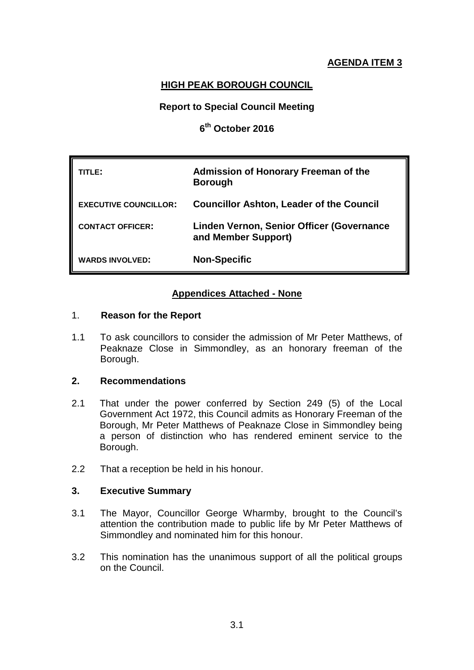# **AGENDA ITEM 3**

## **HIGH PEAK BOROUGH COUNCIL**

## **Report to Special Council Meeting**

## **6th October 2016**

| TITLE:                       | Admission of Honorary Freeman of the<br><b>Borough</b>           |
|------------------------------|------------------------------------------------------------------|
| <b>EXECUTIVE COUNCILLOR:</b> | <b>Councillor Ashton, Leader of the Council</b>                  |
| <b>CONTACT OFFICER:</b>      | Linden Vernon, Senior Officer (Governance<br>and Member Support) |
| <b>WARDS INVOLVED:</b>       | <b>Non-Specific</b>                                              |

## **Appendices Attached - None**

#### 1. **Reason for the Report**

1.1 To ask councillors to consider the admission of Mr Peter Matthews, of Peaknaze Close in Simmondley, as an honorary freeman of the Borough.

## **2. Recommendations**

- 2.1 That under the power conferred by Section 249 (5) of the Local Government Act 1972, this Council admits as Honorary Freeman of the Borough, Mr Peter Matthews of Peaknaze Close in Simmondley being a person of distinction who has rendered eminent service to the Borough.
- 2.2 That a reception be held in his honour.

## **3. Executive Summary**

- 3.1 The Mayor, Councillor George Wharmby, brought to the Council's attention the contribution made to public life by Mr Peter Matthews of Simmondley and nominated him for this honour.
- 3.2 This nomination has the unanimous support of all the political groups on the Council.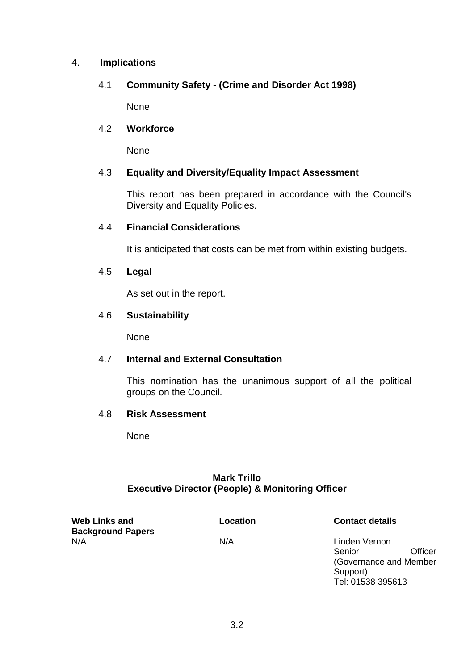## 4. **Implications**

## 4.1 **Community Safety - (Crime and Disorder Act 1998)**

None

### 4.2 **Workforce**

None

## 4.3 **Equality and Diversity/Equality Impact Assessment**

This report has been prepared in accordance with the Council's Diversity and Equality Policies.

#### 4.4 **Financial Considerations**

It is anticipated that costs can be met from within existing budgets.

#### 4.5 **Legal**

As set out in the report.

#### 4.6 **Sustainability**

None

## 4.7 **Internal and External Consultation**

This nomination has the unanimous support of all the political groups on the Council.

## 4.8 **Risk Assessment**

None

## **Mark Trillo Executive Director (People) & Monitoring Officer**

**Web Links and Background Papers** N/A N/A Linden Vernon

**Location Contact details**

Senior Officer (Governance and Member Support) Tel: 01538 395613